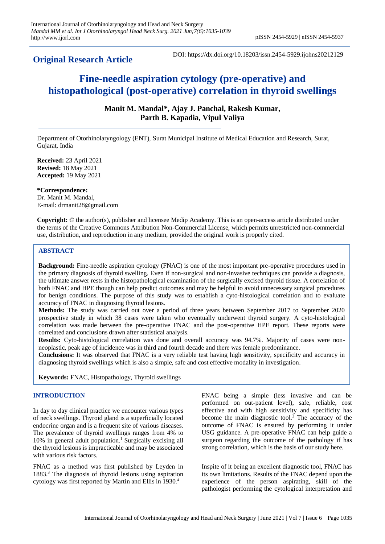**Original Research Article**

# **Fine-needle aspiration cytology (pre-operative) and histopathological (post-operative) correlation in thyroid swellings**

**Manit M. Mandal\*, Ajay J. Panchal, Rakesh Kumar, Parth B. Kapadia, Vipul Valiya**

Department of Otorhinolaryngology (ENT), Surat Municipal Institute of Medical Education and Research, Surat, Gujarat, India

**Received:** 23 April 2021 **Revised:** 18 May 2021 **Accepted:** 19 May 2021

**\*Correspondence:** Dr. Manit M. Mandal, E-mail: drmanit28@gmail.com

**Copyright:** © the author(s), publisher and licensee Medip Academy. This is an open-access article distributed under the terms of the Creative Commons Attribution Non-Commercial License, which permits unrestricted non-commercial use, distribution, and reproduction in any medium, provided the original work is properly cited.

## **ABSTRACT**

**Background:** Fine-needle aspiration cytology (FNAC) is one of the most important pre-operative procedures used in the primary diagnosis of thyroid swelling. Even if non-surgical and non-invasive techniques can provide a diagnosis, the ultimate answer rests in the histopathological examination of the surgically excised thyroid tissue. A correlation of both FNAC and HPE though can help predict outcomes and may be helpful to avoid unnecessary surgical procedures for benign conditions. The purpose of this study was to establish a cyto-histological correlation and to evaluate accuracy of FNAC in diagnosing thyroid lesions.

**Methods:** The study was carried out over a period of three years between September 2017 to September 2020 prospective study in which 38 cases were taken who eventually underwent thyroid surgery. A cyto-histological correlation was made between the pre-operative FNAC and the post-operative HPE report. These reports were correlated and conclusions drawn after statistical analysis.

**Results:** Cyto-histological correlation was done and overall accuracy was 94.7%. Majority of cases were nonneoplastic, peak age of incidence was in third and fourth decade and there was female predominance.

**Conclusions:** It was observed that FNAC is a very reliable test having high sensitivity, specificity and accuracy in diagnosing thyroid swellings which is also a simple, safe and cost effective modality in investigation.

**Keywords:** FNAC, Histopathology, Thyroid swellings

## **INTRODUCTION**

In day to day clinical practice we encounter various types of neck swellings. Thyroid gland is a superficially located endocrine organ and is a frequent site of various diseases. The prevalence of thyroid swellings ranges from 4% to 10% in general adult population.<sup>1</sup> Surgically excising all the thyroid lesions is impracticable and may be associated with various risk factors.

FNAC as a method was first published by Leyden in 1883.<sup>3</sup> The diagnosis of thyroid lesions using aspiration cytology was first reported by Martin and Ellis in 1930.<sup>4</sup>

FNAC being a simple (less invasive and can be performed on out-patient level), safe, reliable, cost effective and with high sensitivity and specificity has become the main diagnostic tool.<sup>2</sup> The accuracy of the outcome of FNAC is ensured by performing it under USG guidance. A pre-operative FNAC can help guide a surgeon regarding the outcome of the pathology if has strong correlation, which is the basis of our study here.

Inspite of it being an excellent diagnostic tool, FNAC has its own limitations. Results of the FNAC depend upon the experience of the person aspirating, skill of the pathologist performing the cytological interpretation and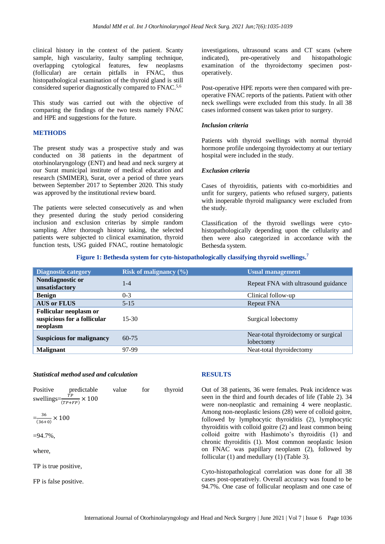clinical history in the context of the patient. Scanty sample, high vascularity, faulty sampling technique, overlapping cytological features, few neoplasms (follicular) are certain pitfalls in FNAC, thus histopathological examination of the thyroid gland is still considered superior diagnostically compared to FNAC.5,6

This study was carried out with the objective of comparing the findings of the two tests namely FNAC and HPE and suggestions for the future.

## **METHODS**

The present study was a prospective study and was conducted on 38 patients in the department of otorhinolaryngology (ENT) and head and neck surgery at our Surat municipal institute of medical education and research (SMIMER), Surat, over a period of three years between September 2017 to September 2020. This study was approved by the institutional review board.

The patients were selected consecutively as and when they presented during the study period considering inclusion and exclusion criterias by simple random sampling. After thorough history taking, the selected patients were subjected to clinical examination, thyroid function tests, USG guided FNAC, routine hematologic investigations, ultrasound scans and CT scans (where indicated), pre-operatively and histopathologic examination of the thyroidectomy specimen postoperatively.

Post-operative HPE reports were then compared with preoperative FNAC reports of the patients. Patient with other neck swellings were excluded from this study. In all 38 cases informed consent was taken prior to surgery.

#### *Inclusion criteria*

Patients with thyroid swellings with normal thyroid hormone profile undergoing thyroidectomy at our tertiary hospital were included in the study.

#### *Exclusion criteria*

Cases of thyroiditis, patients with co-morbidities and unfit for surgery, patients who refused surgery, patients with inoperable thyroid malignancy were excluded from the study.

Classification of the thyroid swellings were cytohistopathologically depending upon the cellularity and then were also categorized in accordance with the Bethesda system.

**Figure 1: Bethesda system for cyto-histopathologically classifying thyroid swellings. 7**

| <b>Diagnostic category</b>                                               | Risk of malignancy $(\%)$ | <b>Usual management</b>                           |
|--------------------------------------------------------------------------|---------------------------|---------------------------------------------------|
| Nondiagnostic or<br>unsatisfactory                                       | $1 - 4$                   | Repeat FNA with ultrasound guidance               |
| <b>Benign</b>                                                            | $0-3$                     | Clinical follow-up                                |
| <b>AUS or FLUS</b>                                                       | $5 - 15$                  | Repeat FNA                                        |
| <b>Follicular neoplasm or</b><br>suspicious for a follicular<br>neoplasm | $15-30$                   | Surgical lobectomy                                |
| <b>Suspicious for malignancy</b>                                         | $60 - 75$                 | Near-total thyroidectomy or surgical<br>lobectomy |
| <b>Malignant</b>                                                         | 97-99                     | Neat-total thyroidectomy                          |

#### *Statistical method used and calculation*

**RESULTS**

| Positive | predictable                          | value | for | thyroid |
|----------|--------------------------------------|-------|-----|---------|
|          | swellings= $\frac{1}{(TP+FP)}$ × 100 |       |     |         |

$$
=\frac{36}{(36+0)} \times 100
$$

 $=94.7\%$ .

where,

TP is true positive,

FP is false positive.

Out of 38 patients, 36 were females. Peak incidence was seen in the third and fourth decades of life (Table 2). 34 were non-neoplastic and remaining 4 were neoplastic. Among non-neoplastic lesions (28) were of colloid goitre, followed by lymphocytic thyroiditis (2), lymphocytic thyroiditis with colloid goitre (2) and least common being colloid goitre with Hashimoto's thyroiditis (1) and chronic thyroiditis (1). Most common neoplastic lesion on FNAC was papillary neoplasm (2), followed by follicular (1) and medullary (1) (Table 3).

Cyto-histopathological correlation was done for all 38 cases post-operatively. Overall accuracy was found to be 94.7%. One case of follicular neoplasm and one case of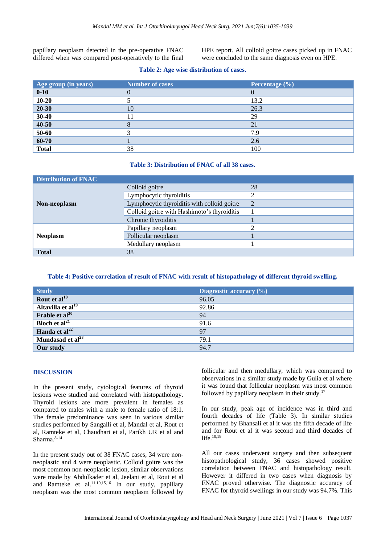papillary neoplasm detected in the pre-operative FNAC differed when was compared post-operatively to the final HPE report. All colloid goitre cases picked up in FNAC were concluded to the same diagnosis even on HPE.

|  | Table 2: Age wise distribution of cases. |
|--|------------------------------------------|
|--|------------------------------------------|

| Age group (in years) | <b>Number of cases</b> | Percentage $(\% )$ |
|----------------------|------------------------|--------------------|
| $0 - 10$             | 0                      |                    |
| $10 - 20$            |                        | 13.2               |
| $20 - 30$            | 10                     | 26.3               |
| $30-40$              |                        | 29                 |
| $40 - 50$            |                        | 21                 |
| $50 - 60$            |                        | 7.9                |
| 60-70                |                        | 2.6                |
| <b>Total</b>         | 38                     | 100                |

#### **Table 3: Distribution of FNAC of all 38 cases.**

| <b>Distribution of FNAC</b> |                                             |    |
|-----------------------------|---------------------------------------------|----|
| Non-neoplasm                | Colloid goitre                              | 28 |
|                             | Lymphocytic thyroiditis                     |    |
|                             | Lymphocytic thyroiditis with colloid goitre |    |
|                             | Colloid goitre with Hashimoto's thyroiditis |    |
|                             | Chronic thyroiditis                         |    |
| <b>Neoplasm</b>             | Papillary neoplasm                          |    |
|                             | Follicular neoplasm                         |    |
|                             | Medullary neoplasm                          |    |
| <b>Total</b>                | 38                                          |    |

**Table 4: Positive correlation of result of FNAC with result of histopathology of different thyroid swelling.**

| <b>Study</b>                      | Diagnostic accuracy $(\%)$ |
|-----------------------------------|----------------------------|
| Rout et al <sup>10</sup>          | 96.05                      |
| Altavilla et $\overline{al^{19}}$ | 92.86                      |
| Frable et $al^{20}$               | 94                         |
| <b>Bloch</b> et $al^{21}$         | 91.6                       |
| Handa et al $^{22}$               | 97                         |
| Mundasad et al <sup>23</sup>      | 79.1                       |
| Our study                         | 94.7                       |

### **DISCUSSION**

In the present study, cytological features of thyroid lesions were studied and correlated with histopathology. Thyroid lesions are more prevalent in females as compared to males with a male to female ratio of 18:1. The female predominance was seen in various similar studies performed by Sangalli et al, Mandal et al, Rout et al, Ramteke et al, Chaudhari et al, Parikh UR et al and Sharma. 8-14

In the present study out of 38 FNAC cases, 34 were nonneoplastic and 4 were neoplastic. Colloid goitre was the most common non-neoplastic lesion, similar observations were made by Abdulkader et al, Jeelani et al, Rout et al and Ramteke et al.<sup>11.10,15,16</sup> In our study, papillary neoplasm was the most common neoplasm followed by follicular and then medullary, which was compared to observations in a similar study made by Gulia et al where it was found that follicular neoplasm was most common followed by papillary neoplasm in their study.<sup>17</sup>

In our study, peak age of incidence was in third and fourth decades of life (Table 3). In similar studies performed by Bhansali et al it was the fifth decade of life and for Rout et al it was second and third decades of life.<sup>10,18</sup>

All our cases underwent surgery and then subsequent histopathological study, 36 cases showed positive correlation between FNAC and histopathology result. However it differed in two cases when diagnosis by FNAC proved otherwise. The diagnostic accuracy of FNAC for thyroid swellings in our study was 94.7%. This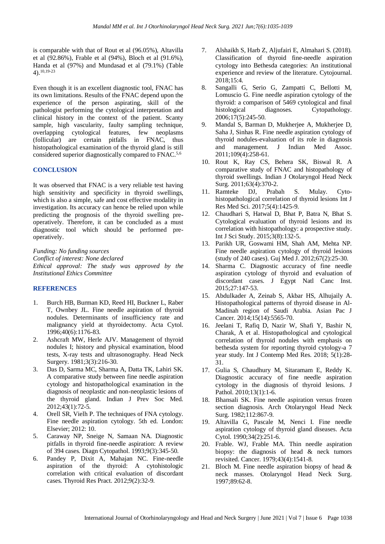is comparable with that of Rout et al (96.05%), Altavilla et al (92.86%), Frable et al (94%), Bloch et al (91.6%), Handa et al (97%) and Mundasad et al (79.1%) (Table 4). 10,19-23

Even though it is an excellent diagnostic tool, FNAC has its own limitations. Results of the FNAC depend upon the experience of the person aspirating, skill of the pathologist performing the cytological interpretation and clinical history in the context of the patient. Scanty sample, high vascularity, faulty sampling technique, overlapping cytological features, few neoplasms (follicular) are certain pitfalls in FNAC, thus histopathological examination of the thyroid gland is still considered superior diagnostically compared to FNAC.5,6

## **CONCLUSION**

It was observed that FNAC is a very reliable test having high sensitivity and specificity in thyroid swellings, which is also a simple, safe and cost effective modality in investigation. Its accuracy can hence be relied upon while predicting the prognosis of the thyroid swelling preoperatively. Therefore, it can be concluded as a must diagnostic tool which should be performed preoperatively.

*Funding: No funding sources Conflict of interest: None declared Ethical approval: The study was approved by the Institutional Ethics Committee*

## **REFERENCES**

- 1. Burch HB, Burman KD, Reed HI, Buckner L, Raber T, Ownbey JL. Fine needle aspiration of thyroid nodules. Determinants of insufficiency rate and malignancy yield at thyroidectomy. Acta Cytol. 1996;40(6):1176-83.
- 2. Ashcraft MW, Herle AJV. Management of thyroid nodules I; history and physical examination, blood tests, X-ray tests and ultrasonography. Head Neck Surgery. 1981;3(3):216-30.
- 3. Das D, Sarma MC, Sharma A, Datta TK, Lahiri SK. A comparative study between fine needle aspiration cytology and histopathological examination in the diagnosis of neoplastic and non-neoplastic lesions of the thyroid gland. Indian J Prev Soc Med. 2012;43(1):72-5.
- 4. Orell SR, Vielh P. The techniques of FNA cytology. Fine needle aspiration cytology. 5th ed. London: Elsevier; 2012: 10.
- 5. Caraway NP, Sneige N, Samaan NA. Diagnostic pitfalls in thyroid fine-needle aspiration: A review of 394 cases. Diagn Cytopathol. 1993;9(3):345-50.
- 6. Pandey P, Dixit A, Mahajan NC. Fine-needle aspiration of the thyroid: A cytohistologic correlation with critical evaluation of discordant cases. Thyroid Res Pract. 2012;9(2):32-9.
- 7. Alshaikh S, Harb Z, Aljufairi E, Almahari S. (2018). Classification of thyroid fine-needle aspiration cytology into Bethesda categories: An institutional experience and review of the literature. Cytojournal. 2018;15:4.
- 8. Sangalli G, Serio G, Zampatti C, Bellotti M, Lomuscio G. Fine needle aspiration cytology of the thyroid: a comparison of 5469 cytological and final<br>histological diagnoses. Cytopathology. histological diagnoses. Cytopathology. 2006;17(5):245-50.
- 9. Mandal S, Barman D, Mukherjee A, Mukherjee D, Saha J, Sinhas R. Fine needle aspiration cytology of thyroid nodules-evaluation of its role in diagnosis and management. J Indian Med Assoc. 2011;109(4):258-61.
- 10. Rout K, Ray CS, Behera SK, Biswal R. A comparative study of FNAC and histopathology of thyroid swellings. Indian J Otolaryngol Head Neck Surg. 2011;63(4):370-2.
- 11. Ramteke DJ, Prabah S. Mulay. Cytohistopathological correlation of thyroid lesions Int J Res Med Sci. 2017;5(4):1425-9.
- 12. Chaudhari S, Hatwal D, Bhat P, Batra N, Bhat S. Cytological evaluation of thyroid lesions and its correlation with histopathology: a prospective study. Int J Sci Study. 2015;3(8):132-5.
- 13. Parikh UR, Goswami HM, Shah AM, Mehta NP. Fine needle aspiration cytology of thyroid lesions (study of 240 cases). Guj Med J. 2012;67(2):25-30.
- 14. Sharma C. Diagnostic accuracy of fine needle aspiration cytology of thyroid and evaluation of discordant cases. J Egypt Natl Canc Inst. 2015;27:147-53.
- 15. Abdulkader A, Zeinab S, Akbar HS, Alhujaily A. Histopathological patterns of thyroid disease in Al-Madinah region of Saudi Arabia. Asian Pac J Cancer. 2014;15(14):5565-70.
- 16. Jeelani T, Rafiq D, Nazir W, Shafi Y, Bashir N, Charak, A et al. Histopathological and cytological correlation of thyroid nodules with emphasis on bethesda system for reporting thyroid cytology-a 7 year study. Int J Contemp Med Res. 2018; 5(1):28- 31.
- 17. Gulia S, Chaudhury M, Sitaramam E, Reddy K. Diagnostic accuracy of fine needle aspiration cytology in the diagnosis of thyroid lesions. J Pathol. 2010;13(1):1-6.
- 18. Bhansali SK. Fine needle aspiration versus frozen section diagnosis. Arch Otolaryngol Head Neck Surg. 1982;112:867-9.
- 19. Altavilla G, Pascale M, Nenci I. Fine needle aspiration cytology of thyroid gland diseases. Acta Cytol. 1990;34(2):251-6.
- 20. Frable. WJ, Frable MA. Thin needle aspiration biopsy: the diagnosis of head & neck tumors revisited. Cancer. 1979;43(4):1541-8.
- 21. Bloch M. Fine needle aspiration biopsy of head & neck masses. Otolaryngol Head Neck Surg. 1997;89:62-8.